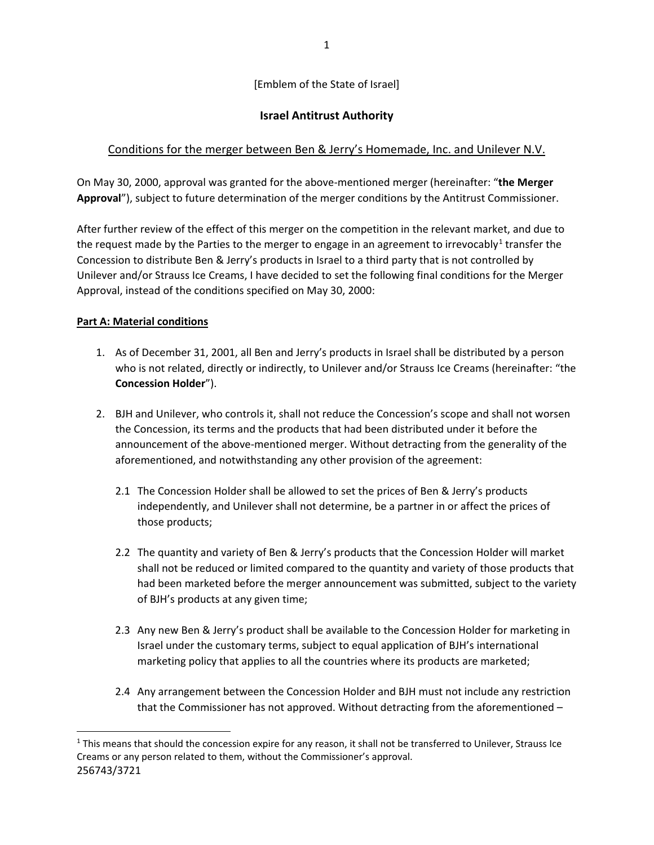## [Emblem of the State of Israel]

## **Israel Antitrust Authority**

# Conditions for the merger between Ben & Jerry's Homemade, Inc. and Unilever N.V.

On May 30, 2000, approval was granted for the above-mentioned merger (hereinafter: "**the Merger Approval**"), subject to future determination of the merger conditions by the Antitrust Commissioner.

After further review of the effect of this merger on the competition in the relevant market, and due to the request made by the Parties to the merger to engage in an agreement to irrevocably<sup>[1](#page-0-0)</sup> transfer the Concession to distribute Ben & Jerry's products in Israel to a third party that is not controlled by Unilever and/or Strauss Ice Creams, I have decided to set the following final conditions for the Merger Approval, instead of the conditions specified on May 30, 2000:

## **Part A: Material conditions**

- 1. As of December 31, 2001, all Ben and Jerry's products in Israel shall be distributed by a person who is not related, directly or indirectly, to Unilever and/or Strauss Ice Creams (hereinafter: "the **Concession Holder**").
- 2. BJH and Unilever, who controls it, shall not reduce the Concession's scope and shall not worsen the Concession, its terms and the products that had been distributed under it before the announcement of the above-mentioned merger. Without detracting from the generality of the aforementioned, and notwithstanding any other provision of the agreement:
	- 2.1 The Concession Holder shall be allowed to set the prices of Ben & Jerry's products independently, and Unilever shall not determine, be a partner in or affect the prices of those products;
	- 2.2 The quantity and variety of Ben & Jerry's products that the Concession Holder will market shall not be reduced or limited compared to the quantity and variety of those products that had been marketed before the merger announcement was submitted, subject to the variety of BJH's products at any given time;
	- 2.3 Any new Ben & Jerry's product shall be available to the Concession Holder for marketing in Israel under the customary terms, subject to equal application of BJH's international marketing policy that applies to all the countries where its products are marketed;
	- 2.4 Any arrangement between the Concession Holder and BJH must not include any restriction that the Commissioner has not approved. Without detracting from the aforementioned –

<span id="page-0-0"></span><sup>256743/3721</sup>  $1$  This means that should the concession expire for any reason, it shall not be transferred to Unilever, Strauss Ice Creams or any person related to them, without the Commissioner's approval.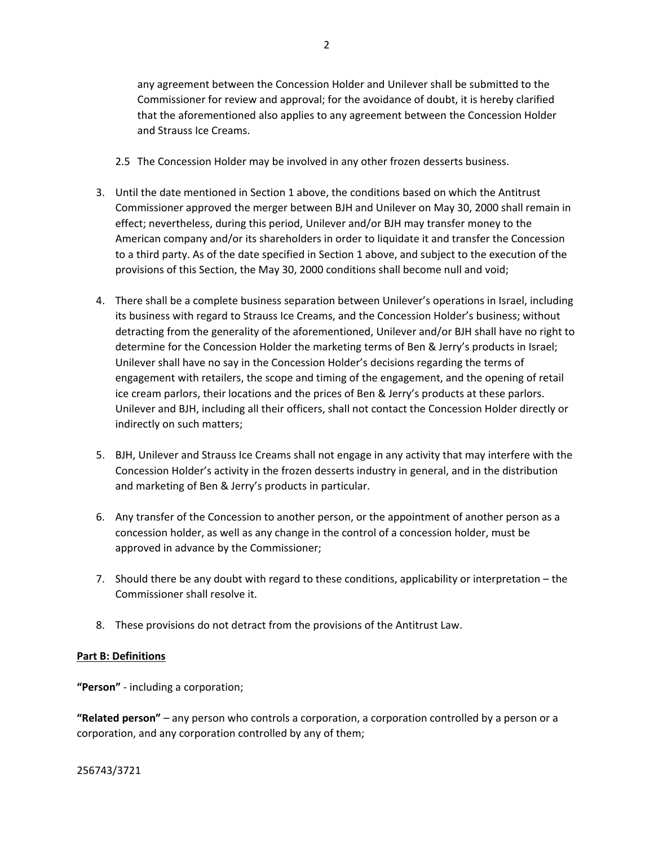any agreement between the Concession Holder and Unilever shall be submitted to the Commissioner for review and approval; for the avoidance of doubt, it is hereby clarified that the aforementioned also applies to any agreement between the Concession Holder and Strauss Ice Creams.

- 2.5 The Concession Holder may be involved in any other frozen desserts business.
- 3. Until the date mentioned in Section 1 above, the conditions based on which the Antitrust Commissioner approved the merger between BJH and Unilever on May 30, 2000 shall remain in effect; nevertheless, during this period, Unilever and/or BJH may transfer money to the American company and/or its shareholders in order to liquidate it and transfer the Concession to a third party. As of the date specified in Section 1 above, and subject to the execution of the provisions of this Section, the May 30, 2000 conditions shall become null and void;
- 4. There shall be a complete business separation between Unilever's operations in Israel, including its business with regard to Strauss Ice Creams, and the Concession Holder's business; without detracting from the generality of the aforementioned, Unilever and/or BJH shall have no right to determine for the Concession Holder the marketing terms of Ben & Jerry's products in Israel; Unilever shall have no say in the Concession Holder's decisions regarding the terms of engagement with retailers, the scope and timing of the engagement, and the opening of retail ice cream parlors, their locations and the prices of Ben & Jerry's products at these parlors. Unilever and BJH, including all their officers, shall not contact the Concession Holder directly or indirectly on such matters;
- 5. BJH, Unilever and Strauss Ice Creams shall not engage in any activity that may interfere with the Concession Holder's activity in the frozen desserts industry in general, and in the distribution and marketing of Ben & Jerry's products in particular.
- 6. Any transfer of the Concession to another person, or the appointment of another person as a concession holder, as well as any change in the control of a concession holder, must be approved in advance by the Commissioner;
- 7. Should there be any doubt with regard to these conditions, applicability or interpretation the Commissioner shall resolve it.
- 8. These provisions do not detract from the provisions of the Antitrust Law.

#### **Part B: Definitions**

**"Person"** - including a corporation;

**"Related person"** – any person who controls a corporation, a corporation controlled by a person or a corporation, and any corporation controlled by any of them;

256743/3721